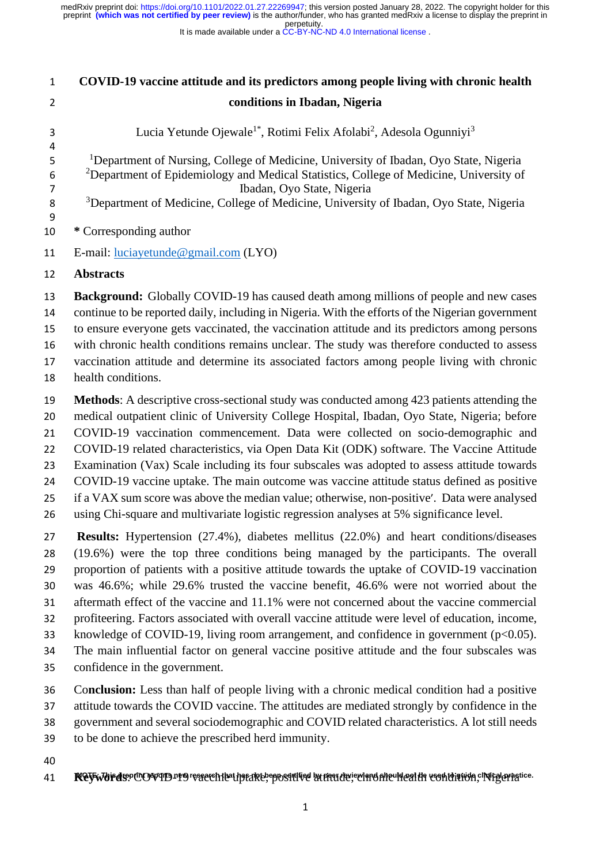It is made available under a [CC-BY-NC-ND 4.0 International license](http://creativecommons.org/licenses/by-nc-nd/4.0/) .

| $\mathbf{1}$                                       | COVID-19 vaccine attitude and its predictors among people living with chronic health                                                                                                                                                                                                                                                                                                                                                                                                                                                                                                                                                                                                                                                                                                              |
|----------------------------------------------------|---------------------------------------------------------------------------------------------------------------------------------------------------------------------------------------------------------------------------------------------------------------------------------------------------------------------------------------------------------------------------------------------------------------------------------------------------------------------------------------------------------------------------------------------------------------------------------------------------------------------------------------------------------------------------------------------------------------------------------------------------------------------------------------------------|
| $\overline{2}$                                     | conditions in Ibadan, Nigeria                                                                                                                                                                                                                                                                                                                                                                                                                                                                                                                                                                                                                                                                                                                                                                     |
| 3<br>4                                             | Lucia Yetunde Ojewale <sup>1*</sup> , Rotimi Felix Afolabi <sup>2</sup> , Adesola Ogunniyi <sup>3</sup>                                                                                                                                                                                                                                                                                                                                                                                                                                                                                                                                                                                                                                                                                           |
| 5<br>6<br>$\overline{7}$<br>$\bf 8$<br>9           | <sup>1</sup> Department of Nursing, College of Medicine, University of Ibadan, Oyo State, Nigeria<br><sup>2</sup> Department of Epidemiology and Medical Statistics, College of Medicine, University of<br>Ibadan, Oyo State, Nigeria<br><sup>3</sup> Department of Medicine, College of Medicine, University of Ibadan, Oyo State, Nigeria                                                                                                                                                                                                                                                                                                                                                                                                                                                       |
| 10                                                 | * Corresponding author                                                                                                                                                                                                                                                                                                                                                                                                                                                                                                                                                                                                                                                                                                                                                                            |
| 11                                                 | E-mail: $luciayetunde@gmail.com (LYO)$                                                                                                                                                                                                                                                                                                                                                                                                                                                                                                                                                                                                                                                                                                                                                            |
| 12                                                 | <b>Abstracts</b>                                                                                                                                                                                                                                                                                                                                                                                                                                                                                                                                                                                                                                                                                                                                                                                  |
| 13<br>14<br>15<br>16<br>17<br>18                   | <b>Background:</b> Globally COVID-19 has caused death among millions of people and new cases<br>continue to be reported daily, including in Nigeria. With the efforts of the Nigerian government<br>to ensure everyone gets vaccinated, the vaccination attitude and its predictors among persons<br>with chronic health conditions remains unclear. The study was therefore conducted to assess<br>vaccination attitude and determine its associated factors among people living with chronic<br>health conditions.                                                                                                                                                                                                                                                                              |
| 19<br>20<br>21<br>22<br>23<br>24<br>25<br>26       | <b>Methods:</b> A descriptive cross-sectional study was conducted among 423 patients attending the<br>medical outpatient clinic of University College Hospital, Ibadan, Oyo State, Nigeria; before<br>COVID-19 vaccination commencement. Data were collected on socio-demographic and<br>COVID-19 related characteristics, via Open Data Kit (ODK) software. The Vaccine Attitude<br>Examination (Vax) Scale including its four subscales was adopted to assess attitude towards<br>COVID-19 vaccine uptake. The main outcome was vaccine attitude status defined as positive<br>if a VAX sum score was above the median value; otherwise, non-positive'. Data were analysed<br>using Chi-square and multivariate logistic regression analyses at 5% significance level.                          |
| 27<br>28<br>29<br>30<br>31<br>32<br>33<br>34<br>35 | Results: Hypertension (27.4%), diabetes mellitus (22.0%) and heart conditions/diseases<br>(19.6%) were the top three conditions being managed by the participants. The overall<br>proportion of patients with a positive attitude towards the uptake of COVID-19 vaccination<br>was 46.6%; while 29.6% trusted the vaccine benefit, 46.6% were not worried about the<br>aftermath effect of the vaccine and 11.1% were not concerned about the vaccine commercial<br>profiteering. Factors associated with overall vaccine attitude were level of education, income,<br>knowledge of COVID-19, living room arrangement, and confidence in government $(p<0.05)$ .<br>The main influential factor on general vaccine positive attitude and the four subscales was<br>confidence in the government. |
| 36<br>37<br>38<br>39                               | Conclusion: Less than half of people living with a chronic medical condition had a positive<br>attitude towards the COVID vaccine. The attitudes are mediated strongly by confidence in the<br>government and several sociodemographic and COVID related characteristics. A lot still needs<br>to be done to achieve the prescribed herd immunity.                                                                                                                                                                                                                                                                                                                                                                                                                                                |
| 40<br>41                                           | Rey which spot to research that has detected in the constitution of the contribution, integerative                                                                                                                                                                                                                                                                                                                                                                                                                                                                                                                                                                                                                                                                                                |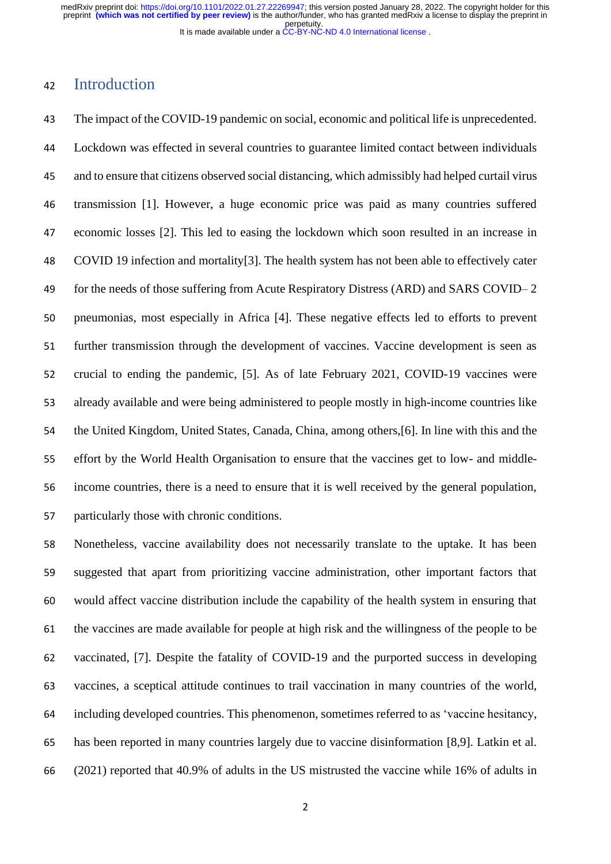## Introduction

 The impact of the COVID-19 pandemic on social, economic and political life is unprecedented. Lockdown was effected in several countries to guarantee limited contact between individuals and to ensure that citizens observed social distancing, which admissibly had helped curtail virus transmission [1]. However, a huge economic price was paid as many countries suffered economic losses [2]. This led to easing the lockdown which soon resulted in an increase in COVID 19 infection and mortality[3]. The health system has not been able to effectively cater for the needs of those suffering from Acute Respiratory Distress (ARD) and SARS COVID– 2 pneumonias, most especially in Africa [4]. These negative effects led to efforts to prevent further transmission through the development of vaccines. Vaccine development is seen as crucial to ending the pandemic, [5]. As of late February 2021, COVID-19 vaccines were already available and were being administered to people mostly in high-income countries like the United Kingdom, United States, Canada, China, among others,[6]. In line with this and the effort by the World Health Organisation to ensure that the vaccines get to low- and middle- income countries, there is a need to ensure that it is well received by the general population, particularly those with chronic conditions.

 Nonetheless, vaccine availability does not necessarily translate to the uptake. It has been suggested that apart from prioritizing vaccine administration, other important factors that would affect vaccine distribution include the capability of the health system in ensuring that the vaccines are made available for people at high risk and the willingness of the people to be vaccinated, [7]. Despite the fatality of COVID-19 and the purported success in developing vaccines, a sceptical attitude continues to trail vaccination in many countries of the world, including developed countries. This phenomenon, sometimes referred to as 'vaccine hesitancy, has been reported in many countries largely due to vaccine disinformation [8,9]. Latkin et al. (2021) reported that 40.9% of adults in the US mistrusted the vaccine while 16% of adults in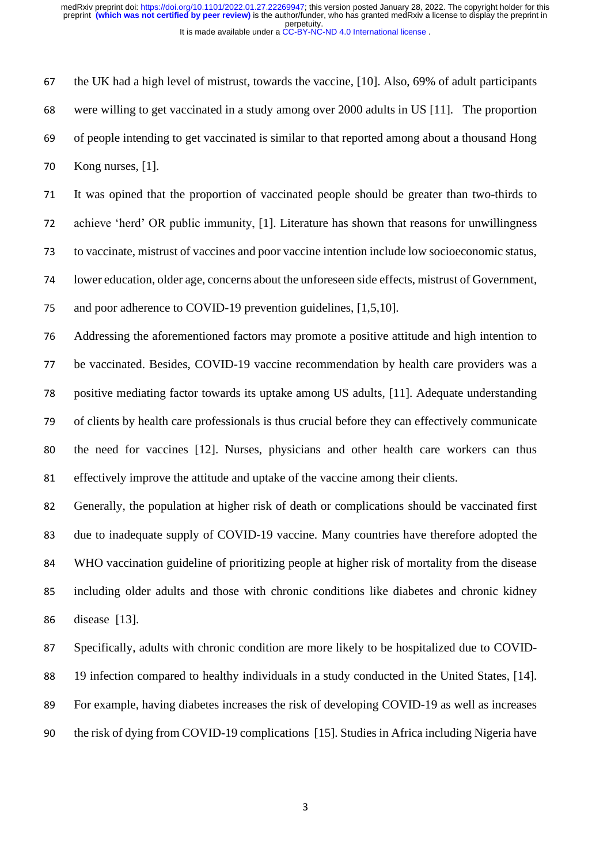the UK had a high level of mistrust, towards the vaccine, [10]. Also, 69% of adult participants were willing to get vaccinated in a study among over 2000 adults in US [11]. The proportion of people intending to get vaccinated is similar to that reported among about a thousand Hong Kong nurses, [1].

 It was opined that the proportion of vaccinated people should be greater than two-thirds to achieve 'herd' OR public immunity, [1]. Literature has shown that reasons for unwillingness to vaccinate, mistrust of vaccines and poor vaccine intention include low socioeconomic status, lower education, older age, concerns about the unforeseen side effects, mistrust of Government, and poor adherence to COVID-19 prevention guidelines, [1,5,10].

 Addressing the aforementioned factors may promote a positive attitude and high intention to be vaccinated. Besides, COVID-19 vaccine recommendation by health care providers was a positive mediating factor towards its uptake among US adults, [11]. Adequate understanding of clients by health care professionals is thus crucial before they can effectively communicate the need for vaccines [12]. Nurses, physicians and other health care workers can thus effectively improve the attitude and uptake of the vaccine among their clients.

 Generally, the population at higher risk of death or complications should be vaccinated first due to inadequate supply of COVID-19 vaccine. Many countries have therefore adopted the WHO vaccination guideline of prioritizing people at higher risk of mortality from the disease including older adults and those with chronic conditions like diabetes and chronic kidney disease [13].

 Specifically, adults with chronic condition are more likely to be hospitalized due to COVID- 19 infection compared to healthy individuals in a study conducted in the United States, [14]. For example, having diabetes increases the risk of developing COVID-19 as well as increases the risk of dying from COVID-19 complications [15]. Studies in Africa including Nigeria have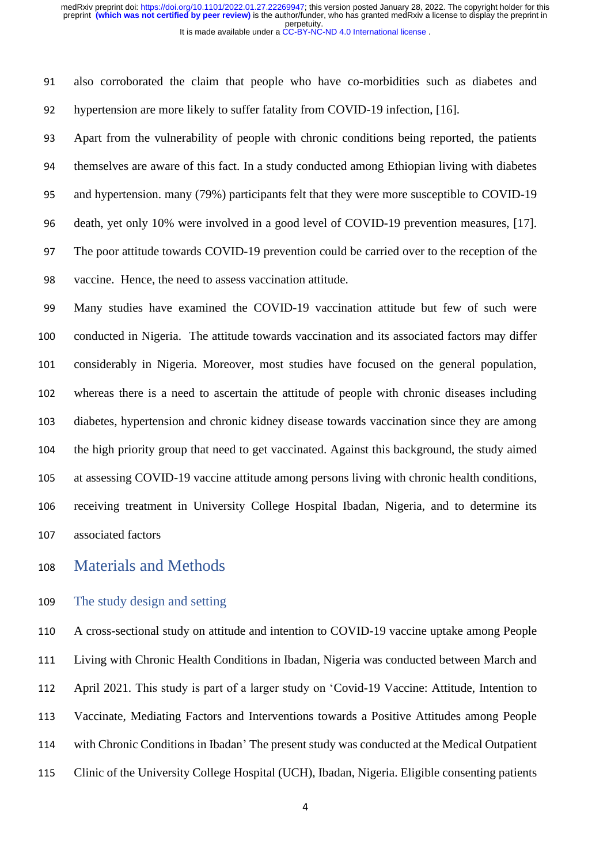also corroborated the claim that people who have co-morbidities such as diabetes and hypertension are more likely to suffer fatality from COVID-19 infection, [16].

 Apart from the vulnerability of people with chronic conditions being reported, the patients themselves are aware of this fact. In a study conducted among Ethiopian living with diabetes and hypertension. many (79%) participants felt that they were more susceptible to COVID-19 death, yet only 10% were involved in a good level of COVID-19 prevention measures, [17]. The poor attitude towards COVID-19 prevention could be carried over to the reception of the vaccine. Hence, the need to assess vaccination attitude.

 Many studies have examined the COVID-19 vaccination attitude but few of such were conducted in Nigeria. The attitude towards vaccination and its associated factors may differ considerably in Nigeria. Moreover, most studies have focused on the general population, whereas there is a need to ascertain the attitude of people with chronic diseases including diabetes, hypertension and chronic kidney disease towards vaccination since they are among the high priority group that need to get vaccinated. Against this background, the study aimed at assessing COVID-19 vaccine attitude among persons living with chronic health conditions, receiving treatment in University College Hospital Ibadan, Nigeria, and to determine its associated factors

Materials and Methods

## The study design and setting

 A cross-sectional study on attitude and intention to COVID-19 vaccine uptake among People Living with Chronic Health Conditions in Ibadan, Nigeria was conducted between March and April 2021. This study is part of a larger study on 'Covid-19 Vaccine: Attitude, Intention to Vaccinate, Mediating Factors and Interventions towards a Positive Attitudes among People with Chronic Conditions in Ibadan' The present study was conducted at the Medical Outpatient Clinic of the University College Hospital (UCH), Ibadan, Nigeria. Eligible consenting patients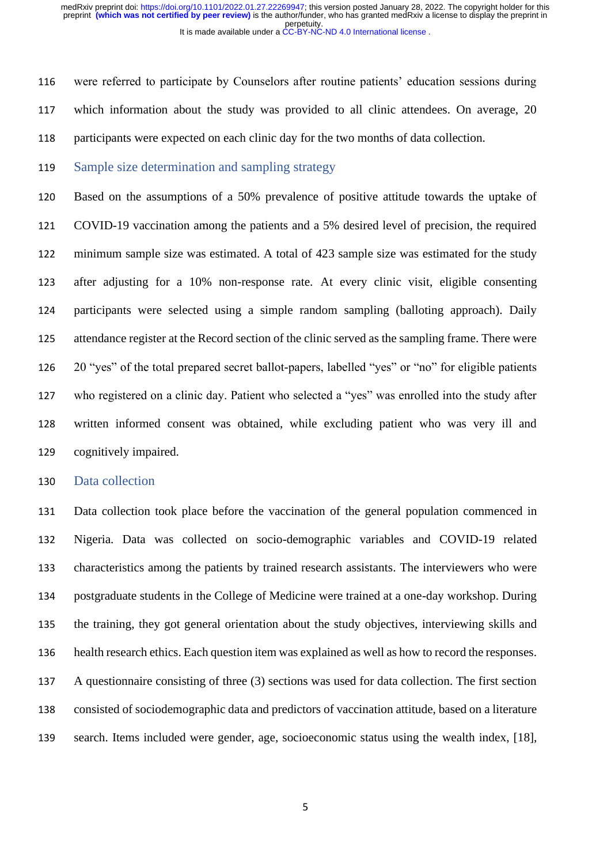were referred to participate by Counselors after routine patients' education sessions during which information about the study was provided to all clinic attendees. On average, 20 participants were expected on each clinic day for the two months of data collection.

119 Sample size determination and sampling strategy

 Based on the assumptions of a 50% prevalence of positive attitude towards the uptake of COVID-19 vaccination among the patients and a 5% desired level of precision, the required minimum sample size was estimated. A total of 423 sample size was estimated for the study after adjusting for a 10% non-response rate. At every clinic visit, eligible consenting participants were selected using a simple random sampling (balloting approach). Daily attendance register at the Record section of the clinic served as the sampling frame. There were 20 "yes" of the total prepared secret ballot-papers, labelled "yes" or "no" for eligible patients who registered on a clinic day. Patient who selected a "yes" was enrolled into the study after written informed consent was obtained, while excluding patient who was very ill and cognitively impaired.

#### Data collection

 Data collection took place before the vaccination of the general population commenced in Nigeria. Data was collected on socio-demographic variables and COVID-19 related characteristics among the patients by trained research assistants. The interviewers who were postgraduate students in the College of Medicine were trained at a one-day workshop. During the training, they got general orientation about the study objectives, interviewing skills and health research ethics. Each question item was explained as well as how to record the responses. A questionnaire consisting of three (3) sections was used for data collection. The first section consisted of sociodemographic data and predictors of vaccination attitude, based on a literature search. Items included were gender, age, socioeconomic status using the wealth index, [18],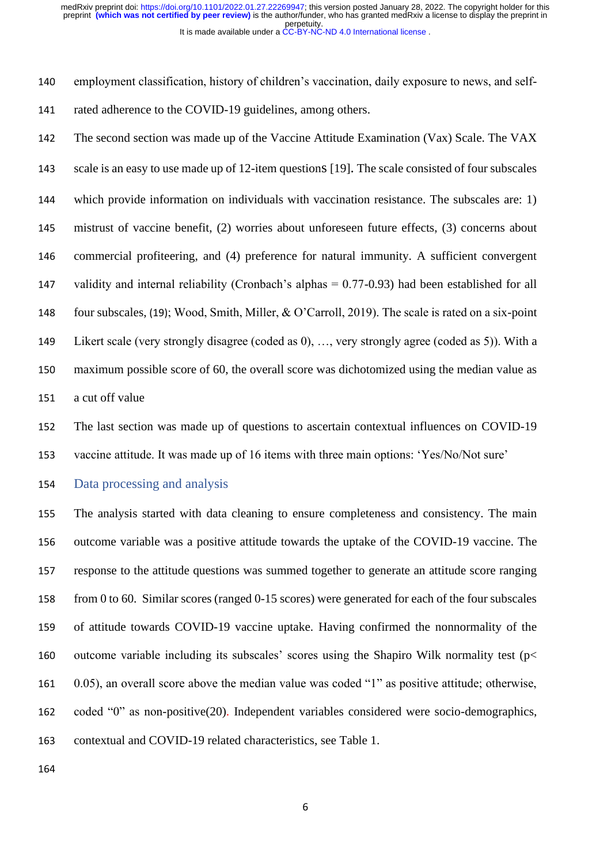employment classification, history of children's vaccination, daily exposure to news, and self-rated adherence to the COVID-19 guidelines, among others.

 The second section was made up of the Vaccine Attitude Examination (Vax) Scale. The VAX scale is an easy to use made up of 12-item questions [19]. The scale consisted of four subscales which provide information on individuals with vaccination resistance. The subscales are: 1) mistrust of vaccine benefit, (2) worries about unforeseen future effects, (3) concerns about commercial profiteering, and (4) preference for natural immunity. A sufficient convergent validity and internal reliability (Cronbach's alphas = 0.77-0.93) had been established for all four subscales, (19); Wood, Smith, Miller, & O'Carroll, 2019). The scale is rated on a six-point Likert scale (very strongly disagree (coded as 0), …, very strongly agree (coded as 5)). With a maximum possible score of 60, the overall score was dichotomized using the median value as a cut off value

 The last section was made up of questions to ascertain contextual influences on COVID-19 vaccine attitude. It was made up of 16 items with three main options: 'Yes/No/Not sure'

Data processing and analysis

 The analysis started with data cleaning to ensure completeness and consistency. The main outcome variable was a positive attitude towards the uptake of the COVID-19 vaccine. The response to the attitude questions was summed together to generate an attitude score ranging from 0 to 60. Similar scores (ranged 0-15 scores) were generated for each of the four subscales of attitude towards COVID-19 vaccine uptake. Having confirmed the nonnormality of the 160 outcome variable including its subscales' scores using the Shapiro Wilk normality test ( $p$  < 0.05), an overall score above the median value was coded "1" as positive attitude; otherwise, coded "0" as non-positive(20). Independent variables considered were socio-demographics, contextual and COVID-19 related characteristics, see Table 1.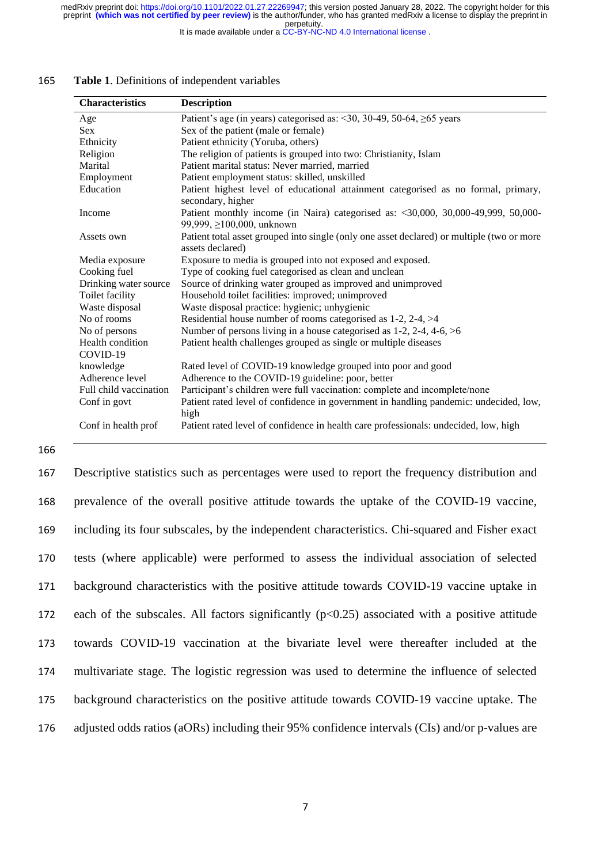It is made available under a [CC-BY-NC-ND 4.0 International license](http://creativecommons.org/licenses/by-nc-nd/4.0/) .

| <b>Characteristics</b>       | <b>Description</b>                                                                                                      |
|------------------------------|-------------------------------------------------------------------------------------------------------------------------|
| Age                          | Patient's age (in years) categorised as: <30, 30-49, 50-64, $\geq$ 65 years                                             |
| Sex.                         | Sex of the patient (male or female)                                                                                     |
| Ethnicity                    | Patient ethnicity (Yoruba, others)                                                                                      |
| Religion                     | The religion of patients is grouped into two: Christianity, Islam                                                       |
| Marital                      | Patient marital status: Never married, married                                                                          |
| Employment                   | Patient employment status: skilled, unskilled                                                                           |
| Education                    | Patient highest level of educational attainment categorised as no formal, primary,<br>secondary, higher                 |
| Income                       | Patient monthly income (in Naira) categorised as: $\langle 30,000, 30,000-49,999, 50,000-$<br>99,999, ≥100,000, unknown |
| Assets own                   | Patient total asset grouped into single (only one asset declared) or multiple (two or more<br>assets declared)          |
| Media exposure               | Exposure to media is grouped into not exposed and exposed.                                                              |
| Cooking fuel                 | Type of cooking fuel categorised as clean and unclean                                                                   |
| Drinking water source        | Source of drinking water grouped as improved and unimproved                                                             |
| Toilet facility              | Household toilet facilities: improved; unimproved                                                                       |
| Waste disposal               | Waste disposal practice: hygienic; unhygienic                                                                           |
| No of rooms                  | Residential house number of rooms categorised as $1-2$ , $2-4$ , $>4$                                                   |
| No of persons                | Number of persons living in a house categorised as $1-2$ , $2-4$ , $4-6$ , $>6$                                         |
| Health condition<br>COVID-19 | Patient health challenges grouped as single or multiple diseases                                                        |
| knowledge                    | Rated level of COVID-19 knowledge grouped into poor and good                                                            |
| Adherence level              | Adherence to the COVID-19 guideline: poor, better                                                                       |
| Full child vaccination       | Participant's children were full vaccination: complete and incomplete/none                                              |
| Conf in govt                 | Patient rated level of confidence in government in handling pandemic: undecided, low,<br>high                           |
| Conf in health prof          | Patient rated level of confidence in health care professionals: undecided, low, high                                    |

#### 165 **Table 1**. Definitions of independent variables

166

 Descriptive statistics such as percentages were used to report the frequency distribution and prevalence of the overall positive attitude towards the uptake of the COVID-19 vaccine, including its four subscales, by the independent characteristics. Chi-squared and Fisher exact tests (where applicable) were performed to assess the individual association of selected background characteristics with the positive attitude towards COVID-19 vaccine uptake in 172 each of the subscales. All factors significantly  $(p<0.25)$  associated with a positive attitude towards COVID-19 vaccination at the bivariate level were thereafter included at the multivariate stage. The logistic regression was used to determine the influence of selected background characteristics on the positive attitude towards COVID-19 vaccine uptake. The adjusted odds ratios (aORs) including their 95% confidence intervals (CIs) and/or p-values are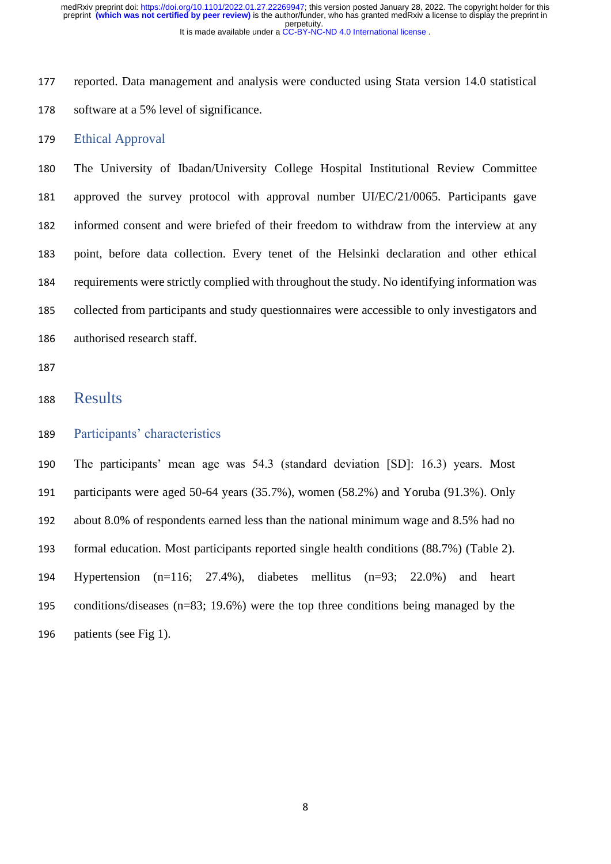reported. Data management and analysis were conducted using Stata version 14.0 statistical software at a 5% level of significance.

#### Ethical Approval

 The University of Ibadan/University College Hospital Institutional Review Committee approved the survey protocol with approval number UI/EC/21/0065. Participants gave informed consent and were briefed of their freedom to withdraw from the interview at any point, before data collection. Every tenet of the Helsinki declaration and other ethical requirements were strictly complied with throughout the study. No identifying information was collected from participants and study questionnaires were accessible to only investigators and authorised research staff.

## Results

### Participants' characteristics

 The participants' mean age was 54.3 (standard deviation [SD]: 16.3) years. Most participants were aged 50-64 years (35.7%), women (58.2%) and Yoruba (91.3%). Only about 8.0% of respondents earned less than the national minimum wage and 8.5% had no formal education. Most participants reported single health conditions (88.7%) (Table 2). Hypertension (n=116; 27.4%), diabetes mellitus (n=93; 22.0%) and heart conditions/diseases (n=83; 19.6%) were the top three conditions being managed by the patients (see Fig 1).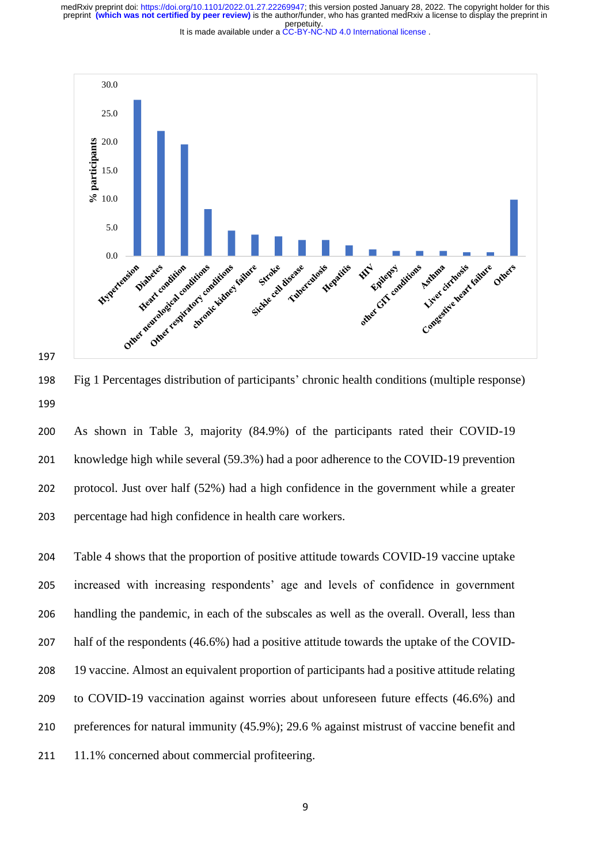

197

198 Fig 1 Percentages distribution of participants' chronic health conditions (multiple response) 199

200 As shown in Table 3, majority (84.9%) of the participants rated their COVID-19 201 knowledge high while several (59.3%) had a poor adherence to the COVID-19 prevention 202 protocol. Just over half (52%) had a high confidence in the government while a greater 203 percentage had high confidence in health care workers.

 Table 4 shows that the proportion of positive attitude towards COVID-19 vaccine uptake increased with increasing respondents' age and levels of confidence in government handling the pandemic, in each of the subscales as well as the overall. Overall, less than half of the respondents (46.6%) had a positive attitude towards the uptake of the COVID- 19 vaccine. Almost an equivalent proportion of participants had a positive attitude relating to COVID-19 vaccination against worries about unforeseen future effects (46.6%) and preferences for natural immunity (45.9%); 29.6 % against mistrust of vaccine benefit and 211 11.1% concerned about commercial profiteering.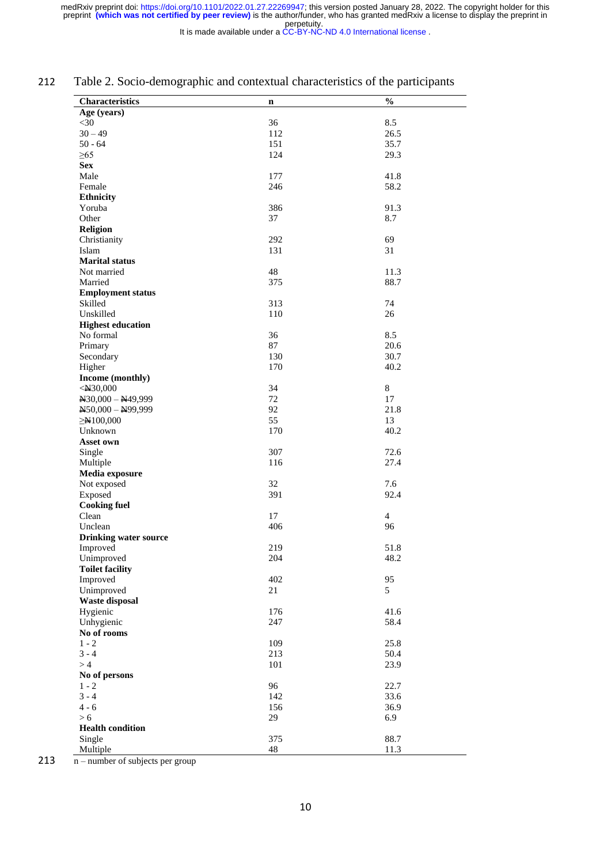It is made available under a [CC-BY-NC-ND 4.0 International license](http://creativecommons.org/licenses/by-nc-nd/4.0/) .

### 212 Table 2. Socio-demographic and contextual characteristics of the participants

| Characteristics              | n   | $\frac{0}{0}$  |
|------------------------------|-----|----------------|
| Age (years)                  |     |                |
| $<$ 30                       | 36  | 8.5            |
| $30 - 49$                    | 112 | 26.5           |
| $50 - 64$                    | 151 | 35.7           |
| $\geq 65$                    | 124 | 29.3           |
| <b>Sex</b>                   |     |                |
| Male                         | 177 | 41.8           |
| Female                       | 246 | 58.2           |
| <b>Ethnicity</b>             |     |                |
| Yoruba                       | 386 | 91.3           |
| Other                        | 37  | 8.7            |
| <b>Religion</b>              |     |                |
| Christianity                 | 292 | 69             |
| Islam                        | 131 | 31             |
| <b>Marital status</b>        |     |                |
| Not married                  | 48  | 11.3           |
| Married                      | 375 | 88.7           |
| <b>Employment status</b>     |     |                |
| Skilled                      | 313 | 74             |
| Unskilled                    | 110 | 26             |
| <b>Highest education</b>     |     |                |
| No formal                    | 36  | 8.5            |
| Primary                      | 87  | 20.6           |
| Secondary                    | 130 | 30.7           |
| Higher                       | 170 | 40.2           |
| Income (monthly)             |     |                |
| $<$ N30,000                  | 34  | 8              |
| $N30,000 - N49,999$          | 72  | 17             |
| $N50,000 - N99,999$          | 92  | 21.8           |
| $\geq N100,000$              | 55  | 13             |
| Unknown                      | 170 | 40.2           |
| Asset own                    |     |                |
| Single                       | 307 | 72.6           |
| Multiple                     | 116 | 27.4           |
| Media exposure               |     |                |
| Not exposed                  | 32  | 7.6            |
| Exposed                      | 391 | 92.4           |
| <b>Cooking fuel</b>          |     |                |
| Clean                        | 17  | $\overline{4}$ |
| Unclean                      | 406 | 96             |
| <b>Drinking water source</b> |     |                |
| Improved                     | 219 | 51.8           |
| Unimproved                   | 204 | 48.2           |
| <b>Toilet facility</b>       |     |                |
| Improved                     | 402 | 95             |
| Unimproved                   | 21  | 5              |
| <b>Waste disposal</b>        |     |                |
| Hygienic                     | 176 | 41.6           |
| Unhygienic                   | 247 | 58.4           |
| No of rooms                  |     |                |
| $1 - 2$                      | 109 | 25.8           |
| $3 - 4$                      | 213 | 50.4           |
| >4                           | 101 | 23.9           |
| No of persons                |     |                |
| $1 - 2$                      | 96  | 22.7           |
| $3 - 4$                      | 142 | 33.6           |
| $4 - 6$                      | 156 | 36.9           |
| > 6                          | 29  | 6.9            |
| <b>Health condition</b>      |     |                |
| Single                       | 375 | 88.7           |
| Multiple                     | 48  | 11.3           |

213  $\overline{n}$  – number of subjects per group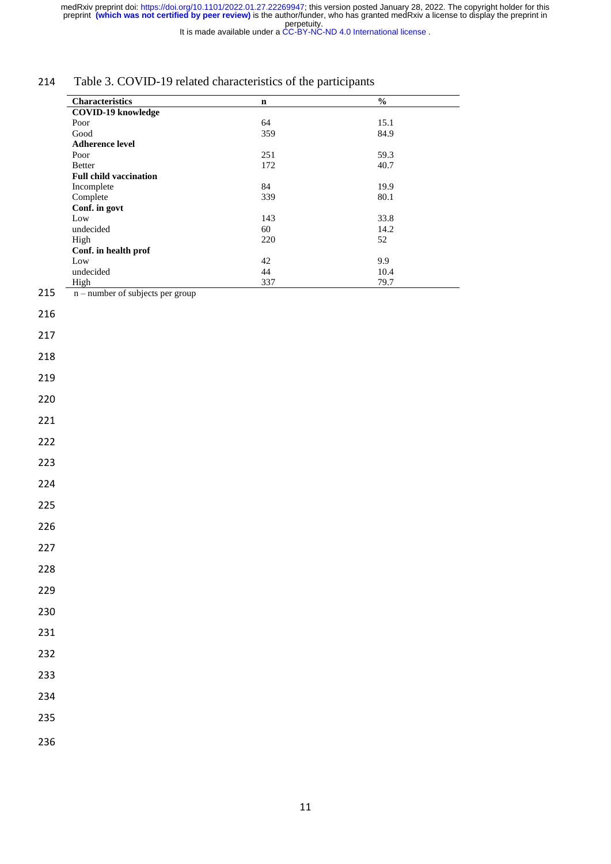It is made available under a [CC-BY-NC-ND 4.0 International license](http://creativecommons.org/licenses/by-nc-nd/4.0/) .

## 214 Table 3. COVID-19 related characteristics of the participants

| <b>Characteristics</b>             | n   | $\frac{0}{0}$ |
|------------------------------------|-----|---------------|
| <b>COVID-19 knowledge</b>          |     |               |
| Poor                               | 64  | 15.1          |
| Good                               | 359 | 84.9          |
| <b>Adherence level</b>             |     |               |
| Poor                               | 251 | 59.3          |
| <b>Better</b>                      | 172 | 40.7          |
| <b>Full child vaccination</b>      |     |               |
| Incomplete                         | 84  | 19.9          |
| Complete                           | 339 | 80.1          |
| Conf. in govt                      |     |               |
| Low                                | 143 | 33.8          |
| undecided                          | 60  | 14.2          |
| High                               | 220 | 52            |
| Conf. in health prof               |     |               |
| Low                                | 42  | 9.9           |
| undecided                          | 44  | 10.4          |
| High                               | 337 | 79.7          |
| $n$ – number of subjects per group |     |               |
|                                    |     |               |
|                                    |     |               |

217

218

219

220

221

222

223

224

225

226

227

228

229

230

231

232

233

234

235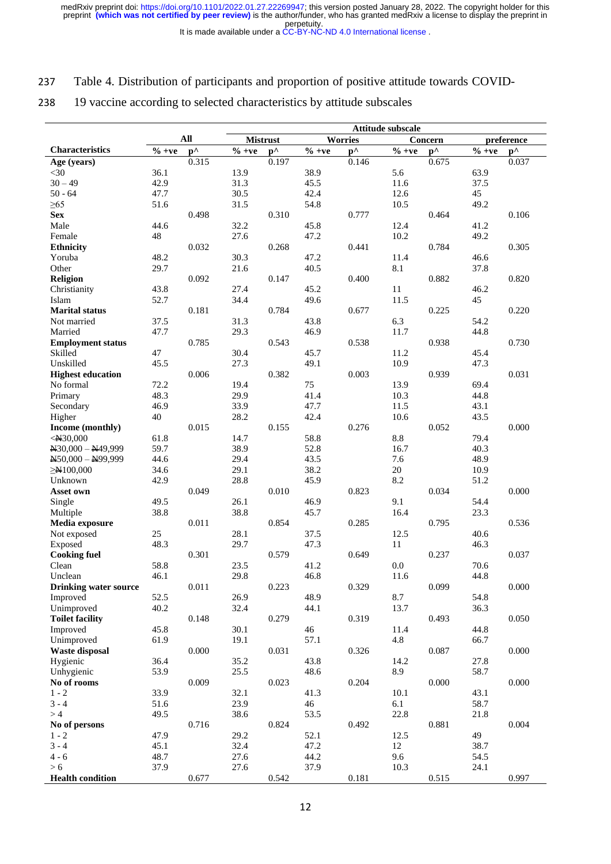It is made available under a [CC-BY-NC-ND 4.0 International license](http://creativecommons.org/licenses/by-nc-nd/4.0/) .

#### 237 Table 4. Distribution of participants and proportion of positive attitude towards COVID-

## 238 19 vaccine according to selected characteristics by attitude subscales

|                                   | Attitude subscale |                        |                                           |                        |              |                       |                             |                       |              |                       |
|-----------------------------------|-------------------|------------------------|-------------------------------------------|------------------------|--------------|-----------------------|-----------------------------|-----------------------|--------------|-----------------------|
|                                   |                   | All                    |                                           | <b>Mistrust</b>        |              | <b>Worries</b>        |                             | Concern               |              | preference            |
| <b>Characteristics</b>            | $\%$ +ve          | $\mathbf{p}^{\Lambda}$ | $\overline{\frac{9}{6} + \underline{ve}}$ | $\mathbf{p}^{\Lambda}$ | $\%$ +ve     | $\mathbf{p}^{\wedge}$ | $\overline{\frac{6}{}}$ +ve | $\mathbf{p}^{\wedge}$ | $\%$ +ve     | $\mathbf{p}^{\wedge}$ |
| Age (years)                       |                   | 0.315                  |                                           | 0.197                  |              | 0.146                 |                             | 0.675                 |              | 0.037                 |
| $<$ 30                            | 36.1              |                        | 13.9                                      |                        | 38.9         |                       | 5.6                         |                       | 63.9         |                       |
| $30 - 49$                         | 42.9              |                        | 31.3                                      |                        | 45.5         |                       | 11.6                        |                       | 37.5         |                       |
| $50 - 64$                         | 47.7              |                        | 30.5                                      |                        | 42.4         |                       | 12.6                        |                       | 45           |                       |
| $\geq 65$                         | 51.6              |                        | 31.5                                      |                        | 54.8         |                       | 10.5                        |                       | 49.2         |                       |
| <b>Sex</b>                        |                   | 0.498                  |                                           | 0.310                  |              | 0.777                 |                             | 0.464                 |              | 0.106                 |
| Male                              | 44.6              |                        | 32.2                                      |                        | 45.8         |                       | 12.4                        |                       | 41.2         |                       |
| Female                            | 48                |                        | 27.6                                      |                        | 47.2         |                       | 10.2                        |                       | 49.2         |                       |
| <b>Ethnicity</b><br>Yoruba        | 48.2              | 0.032                  | 30.3                                      | 0.268                  | 47.2         | 0.441                 | 11.4                        | 0.784                 | 46.6         | 0.305                 |
| Other                             | 29.7              |                        | 21.6                                      |                        | 40.5         |                       | 8.1                         |                       | 37.8         |                       |
| <b>Religion</b>                   |                   | 0.092                  |                                           | 0.147                  |              | 0.400                 |                             | 0.882                 |              | 0.820                 |
| Christianity                      | 43.8              |                        | 27.4                                      |                        | 45.2         |                       | 11                          |                       | 46.2         |                       |
| Islam                             | 52.7              |                        | 34.4                                      |                        | 49.6         |                       | 11.5                        |                       | 45           |                       |
| <b>Marital status</b>             |                   | 0.181                  |                                           | 0.784                  |              | 0.677                 |                             | 0.225                 |              | 0.220                 |
| Not married                       | 37.5              |                        | 31.3                                      |                        | 43.8         |                       | 6.3                         |                       | 54.2         |                       |
| Married                           | 47.7              |                        | 29.3                                      |                        | 46.9         |                       | 11.7                        |                       | 44.8         |                       |
| <b>Employment status</b>          |                   | 0.785                  |                                           | 0.543                  |              | 0.538                 |                             | 0.938                 |              | 0.730                 |
| Skilled                           | 47                |                        | 30.4                                      |                        | 45.7         |                       | 11.2                        |                       | 45.4         |                       |
| Unskilled                         | 45.5              |                        | 27.3                                      |                        | 49.1         |                       | 10.9                        |                       | 47.3         |                       |
| <b>Highest education</b>          |                   | 0.006                  |                                           | 0.382                  |              | 0.003                 |                             | 0.939                 |              | 0.031                 |
| No formal                         | 72.2              |                        | 19.4                                      |                        | 75           |                       | 13.9                        |                       | 69.4         |                       |
| Primary                           | 48.3              |                        | 29.9                                      |                        | 41.4         |                       | 10.3                        |                       | 44.8         |                       |
| Secondary                         | 46.9              |                        | 33.9                                      |                        | 47.7         |                       | 11.5                        |                       | 43.1         |                       |
| Higher                            | 40                |                        | 28.2                                      |                        | 42.4         |                       | 10.6                        |                       | 43.5         |                       |
| Income (monthly)                  |                   | 0.015                  |                                           | 0.155                  |              | 0.276                 |                             | 0.052                 |              | 0.000                 |
| $<$ N30,000                       | 61.8              |                        | 14.7                                      |                        | 58.8         |                       | 8.8                         |                       | 79.4         |                       |
| $\text{N}30,000 - \text{N}49,999$ | 59.7              |                        | 38.9                                      |                        | 52.8         |                       | 16.7                        |                       | 40.3         |                       |
| $N50,000 - N99,999$               | 44.6              |                        | 29.4                                      |                        | 43.5         |                       | 7.6                         |                       | 48.9         |                       |
| $\geq N100,000$                   | 34.6              |                        | 29.1                                      |                        | 38.2         |                       | 20                          |                       | 10.9         |                       |
| Unknown                           | 42.9              |                        | 28.8                                      |                        | 45.9         |                       | 8.2                         |                       | 51.2         |                       |
| Asset own                         |                   | 0.049                  |                                           | 0.010                  |              | 0.823                 |                             | 0.034                 |              | 0.000                 |
| Single<br>Multiple                | 49.5<br>38.8      |                        | 26.1<br>38.8                              |                        | 46.9<br>45.7 |                       | 9.1<br>16.4                 |                       | 54.4<br>23.3 |                       |
| Media exposure                    |                   | 0.011                  |                                           | 0.854                  |              | 0.285                 |                             | 0.795                 |              | 0.536                 |
| Not exposed                       | 25                |                        | 28.1                                      |                        | 37.5         |                       | 12.5                        |                       | 40.6         |                       |
| Exposed                           | 48.3              |                        | 29.7                                      |                        | 47.3         |                       | 11                          |                       | 46.3         |                       |
| <b>Cooking fuel</b>               |                   | 0.301                  |                                           | 0.579                  |              | 0.649                 |                             | 0.237                 |              | 0.037                 |
| Clean                             | 58.8              |                        | 23.5                                      |                        | 41.2         |                       | 0.0                         |                       | 70.6         |                       |
| Unclean                           | 46.1              |                        | 29.8                                      |                        | 46.8         |                       | 11.6                        |                       | 44.8         |                       |
| <b>Drinking water source</b>      |                   | 0.011                  |                                           | 0.223                  |              | 0.329                 |                             | 0.099                 |              | 0.000                 |
| Improved                          | 52.5              |                        | 26.9                                      |                        | 48.9         |                       | 8.7                         |                       | 54.8         |                       |
| Unimproved                        | 40.2              |                        | 32.4                                      |                        | 44.1         |                       | 13.7                        |                       | 36.3         |                       |
| <b>Toilet facility</b>            |                   | 0.148                  |                                           | 0.279                  |              | 0.319                 |                             | 0.493                 |              | 0.050                 |
| Improved                          | 45.8              |                        | 30.1                                      |                        | 46           |                       | 11.4                        |                       | 44.8         |                       |
| Unimproved                        | 61.9              |                        | 19.1                                      |                        | 57.1         |                       | 4.8                         |                       | 66.7         |                       |
| <b>Waste disposal</b>             |                   | $0.000\,$              |                                           | 0.031                  |              | 0.326                 |                             | 0.087                 |              | 0.000                 |
| Hygienic                          | 36.4              |                        | 35.2                                      |                        | 43.8         |                       | 14.2                        |                       | 27.8         |                       |
| Unhygienic                        | 53.9              |                        | 25.5                                      |                        | 48.6         |                       | 8.9                         |                       | 58.7         |                       |
| No of rooms                       |                   | 0.009                  |                                           | 0.023                  |              | 0.204                 |                             | 0.000                 |              | 0.000                 |
| $1 - 2$                           | 33.9              |                        | 32.1                                      |                        | 41.3         |                       | 10.1                        |                       | 43.1         |                       |
| $3 - 4$                           | 51.6              |                        | 23.9                                      |                        | 46           |                       | 6.1                         |                       | 58.7         |                       |
| >4                                | 49.5              |                        | 38.6                                      |                        | 53.5         |                       | 22.8                        |                       | 21.8         |                       |
| No of persons                     |                   | 0.716                  |                                           | 0.824                  |              | 0.492                 |                             | 0.881                 |              | 0.004                 |
| $1 - 2$<br>$3 - 4$                | 47.9<br>45.1      |                        | 29.2<br>32.4                              |                        | 52.1<br>47.2 |                       | 12.5<br>12                  |                       | 49<br>38.7   |                       |
| $4 - 6$                           | 48.7              |                        | 27.6                                      |                        | 44.2         |                       | 9.6                         |                       | 54.5         |                       |
| > 6                               | 37.9              |                        | 27.6                                      |                        | 37.9         |                       | 10.3                        |                       | 24.1         |                       |
| <b>Health condition</b>           |                   | 0.677                  |                                           | 0.542                  |              | 0.181                 |                             | 0.515                 |              | 0.997                 |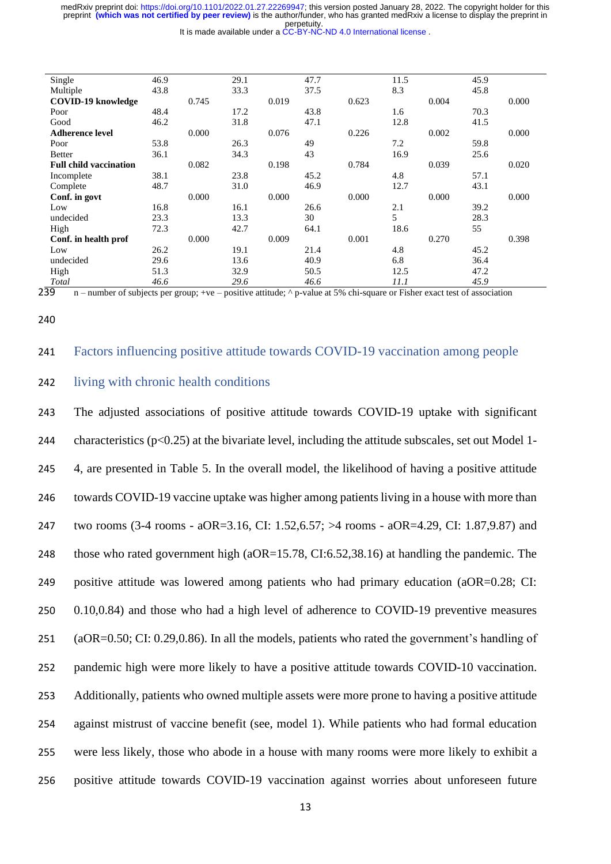perpetuity. preprint **(which was not certified by peer review)** is the author/funder, who has granted medRxiv a license to display the preprint in medRxiv preprint doi: [https://doi.org/10.1101/2022.01.27.22269947;](https://doi.org/10.1101/2022.01.27.22269947) this version posted January 28, 2022. The copyright holder for this

It is made available under a [CC-BY-NC-ND 4.0 International license](http://creativecommons.org/licenses/by-nc-nd/4.0/) .

| Single                        | 46.9 |       | 29.1 |       | 47.7 |       | 11.5 |       | 45.9 |       |
|-------------------------------|------|-------|------|-------|------|-------|------|-------|------|-------|
| Multiple                      | 43.8 |       | 33.3 |       | 37.5 |       | 8.3  |       | 45.8 |       |
| <b>COVID-19 knowledge</b>     |      | 0.745 |      | 0.019 |      | 0.623 |      | 0.004 |      | 0.000 |
| Poor                          | 48.4 |       | 17.2 |       | 43.8 |       | 1.6  |       | 70.3 |       |
| Good                          | 46.2 |       | 31.8 |       | 47.1 |       | 12.8 |       | 41.5 |       |
| <b>Adherence level</b>        |      | 0.000 |      | 0.076 |      | 0.226 |      | 0.002 |      | 0.000 |
| Poor                          | 53.8 |       | 26.3 |       | 49   |       | 7.2  |       | 59.8 |       |
| <b>Better</b>                 | 36.1 |       | 34.3 |       | 43   |       | 16.9 |       | 25.6 |       |
| <b>Full child vaccination</b> |      | 0.082 |      | 0.198 |      | 0.784 |      | 0.039 |      | 0.020 |
| Incomplete                    | 38.1 |       | 23.8 |       | 45.2 |       | 4.8  |       | 57.1 |       |
| Complete                      | 48.7 |       | 31.0 |       | 46.9 |       | 12.7 |       | 43.1 |       |
| Conf. in govt                 |      | 0.000 |      | 0.000 |      | 0.000 |      | 0.000 |      | 0.000 |
| Low                           | 16.8 |       | 16.1 |       | 26.6 |       | 2.1  |       | 39.2 |       |
| undecided                     | 23.3 |       | 13.3 |       | 30   |       | 5    |       | 28.3 |       |
| High                          | 72.3 |       | 42.7 |       | 64.1 |       | 18.6 |       | 55   |       |
| Conf. in health prof          |      | 0.000 |      | 0.009 |      | 0.001 |      | 0.270 |      | 0.398 |
| Low                           | 26.2 |       | 19.1 |       | 21.4 |       | 4.8  |       | 45.2 |       |
| undecided                     | 29.6 |       | 13.6 |       | 40.9 |       | 6.8  |       | 36.4 |       |
| High                          | 51.3 |       | 32.9 |       | 50.5 |       | 12.5 |       | 47.2 |       |
| Total                         | 46.6 |       | 29.6 |       | 46.6 |       | 11.1 |       | 45.9 |       |

 $2\overline{39}$  n – number of subjects per group; +ve – positive attitude;  $\land$  p-value at 5% chi-square or Fisher exact test of association

#### 240

#### 241 Factors influencing positive attitude towards COVID-19 vaccination among people

#### 242 living with chronic health conditions

 The adjusted associations of positive attitude towards COVID-19 uptake with significant 244 characteristics ( $p<0.25$ ) at the bivariate level, including the attitude subscales, set out Model 1- 4, are presented in Table 5. In the overall model, the likelihood of having a positive attitude towards COVID-19 vaccine uptake was higher among patients living in a house with more than two rooms (3-4 rooms - aOR=3.16, CI: 1.52,6.57; >4 rooms - aOR=4.29, CI: 1.87,9.87) and 248 those who rated government high (aOR=15.78, CI:6.52,38.16) at handling the pandemic. The positive attitude was lowered among patients who had primary education (aOR=0.28; CI: 0.10,0.84) and those who had a high level of adherence to COVID-19 preventive measures (aOR=0.50; CI: 0.29,0.86). In all the models, patients who rated the government's handling of pandemic high were more likely to have a positive attitude towards COVID-10 vaccination. Additionally, patients who owned multiple assets were more prone to having a positive attitude against mistrust of vaccine benefit (see, model 1). While patients who had formal education were less likely, those who abode in a house with many rooms were more likely to exhibit a positive attitude towards COVID-19 vaccination against worries about unforeseen future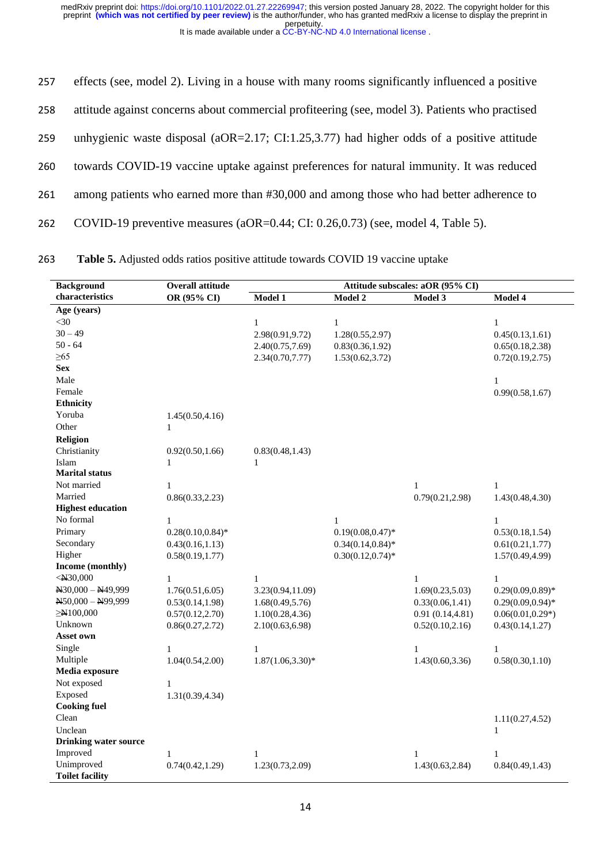| 257 | effects (see, model 2). Living in a house with many rooms significantly influenced a positive  |
|-----|------------------------------------------------------------------------------------------------|
| 258 | attitude against concerns about commercial profiteering (see, model 3). Patients who practised |
| 259 | unhygienic waste disposal (aOR=2.17; CI:1.25,3.77) had higher odds of a positive attitude      |
| 260 | towards COVID-19 vaccine uptake against preferences for natural immunity. It was reduced       |
| 261 | among patients who earned more than #30,000 and among those who had better adherence to        |
| 262 | COVID-19 preventive measures (aOR= $0.44$ ; CI: $0.26,0.73$ ) (see, model 4, Table 5).         |

263 **Table 5.** Adjusted odds ratios positive attitude towards COVID 19 vaccine uptake

| <b>Background</b>            | Overall attitude     | Attitude subscales: aOR (95% CI) |                      |                  |                      |  |  |
|------------------------------|----------------------|----------------------------------|----------------------|------------------|----------------------|--|--|
| characteristics              | OR (95% CI)          | Model 1                          | Model 2              | Model 3          | Model 4              |  |  |
| Age (years)                  |                      |                                  |                      |                  |                      |  |  |
| $<$ 30                       |                      | $\mathbf{1}$                     | $\mathbf{1}$         |                  | $\mathbf{1}$         |  |  |
| $30 - 49$                    |                      | 2.98(0.91,9.72)                  | 1.28(0.55, 2.97)     |                  | 0.45(0.13, 1.61)     |  |  |
| $50 - 64$                    |                      | 2.40(0.75, 7.69)                 | 0.83(0.36, 1.92)     |                  | 0.65(0.18, 2.38)     |  |  |
| $\geq 65$                    |                      | 2.34(0.70, 7.77)                 | 1.53(0.62, 3.72)     |                  | 0.72(0.19, 2.75)     |  |  |
| <b>Sex</b>                   |                      |                                  |                      |                  |                      |  |  |
| Male                         |                      |                                  |                      |                  | $\mathbf{1}$         |  |  |
| Female                       |                      |                                  |                      |                  | 0.99(0.58, 1.67)     |  |  |
| <b>Ethnicity</b>             |                      |                                  |                      |                  |                      |  |  |
| Yoruba                       | 1.45(0.50, 4.16)     |                                  |                      |                  |                      |  |  |
| Other                        | 1                    |                                  |                      |                  |                      |  |  |
| Religion                     |                      |                                  |                      |                  |                      |  |  |
| Christianity                 | 0.92(0.50, 1.66)     | 0.83(0.48, 1.43)                 |                      |                  |                      |  |  |
| Islam                        | $\mathbf{1}$         | $\mathbf{1}$                     |                      |                  |                      |  |  |
| <b>Marital status</b>        |                      |                                  |                      |                  |                      |  |  |
| Not married                  | 1                    |                                  |                      | $\mathbf{1}$     | $\mathbf{1}$         |  |  |
| Married                      | 0.86(0.33, 2.23)     |                                  |                      | 0.79(0.21, 2.98) | 1.43(0.48,4.30)      |  |  |
| <b>Highest education</b>     |                      |                                  |                      |                  |                      |  |  |
| No formal                    | $\mathbf{1}$         |                                  | $\mathbf{1}$         |                  | 1                    |  |  |
| Primary                      | $0.28(0.10, 0.84)$ * |                                  | $0.19(0.08, 0.47)^*$ |                  | 0.53(0.18, 1.54)     |  |  |
| Secondary                    | 0.43(0.16, 1.13)     |                                  | $0.34(0.14, 0.84)$ * |                  | 0.61(0.21, 1.77)     |  |  |
| Higher                       | 0.58(0.19, 1.77)     |                                  | $0.30(0.12, 0.74)$ * |                  | 1.57(0.49, 4.99)     |  |  |
| Income (monthly)             |                      |                                  |                      |                  |                      |  |  |
| $<$ N30,000                  | $\mathbf{1}$         | $\mathbf{1}$                     |                      | $\mathbf{1}$     | $\mathbf{1}$         |  |  |
| $N30,000 - N49,999$          | 1.76(0.51, 6.05)     | 3.23(0.94,11.09)                 |                      | 1.69(0.23, 5.03) | $0.29(0.09, 0.89)$ * |  |  |
| $N50,000 - N99,999$          | 0.53(0.14, 1.98)     | 1.68(0.49, 5.76)                 |                      | 0.33(0.06, 1.41) | $0.29(0.09, 0.94)$ * |  |  |
| $\geq N100,000$              | 0.57(0.12, 2.70)     | 1.10(0.28, 4.36)                 |                      | 0.91(0.14, 4.81) | $0.06(0.01, 0.29*)$  |  |  |
| Unknown                      | 0.86(0.27, 2.72)     | 2.10(0.63, 6.98)                 |                      | 0.52(0.10, 2.16) | 0.43(0.14, 1.27)     |  |  |
| Asset own                    |                      |                                  |                      |                  |                      |  |  |
| Single                       | $\mathbf{1}$         | $\mathbf{1}$                     |                      | $\mathbf{1}$     | $\mathbf{1}$         |  |  |
| Multiple                     | 1.04(0.54, 2.00)     | $1.87(1.06, 3.30)*$              |                      | 1.43(0.60, 3.36) | 0.58(0.30, 1.10)     |  |  |
| Media exposure               |                      |                                  |                      |                  |                      |  |  |
| Not exposed                  | 1                    |                                  |                      |                  |                      |  |  |
| Exposed                      | 1.31(0.39, 4.34)     |                                  |                      |                  |                      |  |  |
| <b>Cooking fuel</b>          |                      |                                  |                      |                  |                      |  |  |
| Clean                        |                      |                                  |                      |                  | 1.11(0.27, 4.52)     |  |  |
| Unclean                      |                      |                                  |                      |                  | $\mathbf{1}$         |  |  |
| <b>Drinking water source</b> |                      |                                  |                      |                  |                      |  |  |
| Improved                     | 1                    | $\mathbf{1}$                     |                      | $\mathbf{1}$     | 1                    |  |  |
| Unimproved                   | 0.74(0.42, 1.29)     | 1.23(0.73, 2.09)                 |                      | 1.43(0.63, 2.84) | 0.84(0.49, 1.43)     |  |  |
| <b>Toilet facility</b>       |                      |                                  |                      |                  |                      |  |  |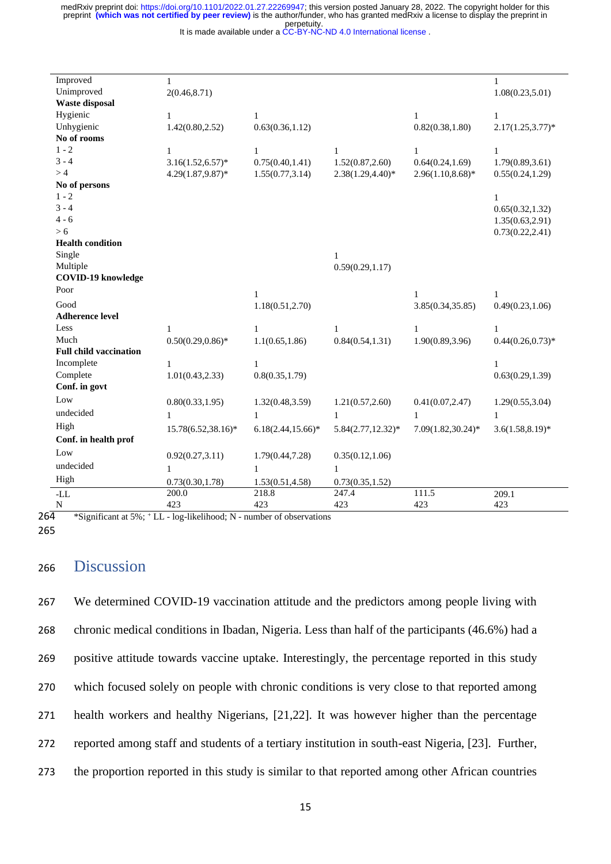It is made available under a [CC-BY-NC-ND 4.0 International license](http://creativecommons.org/licenses/by-nc-nd/4.0/) .

| Improved                          | $\mathbf{1}$         |                       |                       |                       | $\mathbf{1}$         |
|-----------------------------------|----------------------|-----------------------|-----------------------|-----------------------|----------------------|
| Unimproved                        | 2(0.46, 8.71)        |                       |                       |                       | 1.08(0.23, 5.01)     |
| <b>Waste disposal</b>             |                      |                       |                       |                       |                      |
| Hygienic                          | 1                    | 1                     |                       | 1                     | $\mathbf{1}$         |
| Unhygienic                        | 1.42(0.80, 2.52)     | 0.63(0.36, 1.12)      |                       | 0.82(0.38, 1.80)      | $2.17(1.25, 3.77)^*$ |
| No of rooms                       |                      |                       |                       |                       |                      |
| $1 - 2$                           | 1                    | 1                     | $\mathbf{1}$          | 1                     | $\mathbf{1}$         |
| $3 - 4$                           | $3.16(1.52, 6.57)^*$ | 0.75(0.40, 1.41)      | 1.52(0.87, 2.60)      | 0.64(0.24, 1.69)      | 1.79(0.89, 3.61)     |
| >4                                | $4.29(1.87, 9.87)^*$ | 1.55(0.77, 3.14)      | $2.38(1.29, 4.40)*$   | $2.96(1.10, 8.68)*$   | 0.55(0.24, 1.29)     |
| No of persons                     |                      |                       |                       |                       |                      |
| $1 - 2$                           |                      |                       |                       |                       | 1                    |
| $3 - 4$                           |                      |                       |                       |                       | 0.65(0.32, 1.32)     |
| $4 - 6$                           |                      |                       |                       |                       | 1.35(0.63, 2.91)     |
| > 6                               |                      |                       |                       |                       | 0.73(0.22, 2.41)     |
| <b>Health condition</b>           |                      |                       |                       |                       |                      |
| Single                            |                      |                       | 1                     |                       |                      |
| Multiple                          |                      |                       | 0.59(0.29, 1.17)      |                       |                      |
| <b>COVID-19 knowledge</b><br>Poor |                      |                       |                       |                       |                      |
|                                   |                      | 1                     |                       | 1                     | 1                    |
| Good                              |                      | 1.18(0.51, 2.70)      |                       | 3.85(0.34,35.85)      | 0.49(0.23, 1.06)     |
| <b>Adherence level</b>            |                      |                       |                       |                       |                      |
| Less                              | 1                    | 1                     | 1                     | 1                     | 1                    |
| Much                              | $0.50(0.29, 0.86)$ * | 1.1(0.65, 1.86)       | 0.84(0.54, 1.31)      | 1.90(0.89, 3.96)      | $0.44(0.26, 0.73)*$  |
| <b>Full child vaccination</b>     |                      |                       |                       |                       |                      |
| Incomplete                        | 1                    | 1                     |                       |                       | 1                    |
| Complete                          | 1.01(0.43, 2.33)     | 0.8(0.35, 1.79)       |                       |                       | 0.63(0.29, 1.39)     |
| Conf. in govt                     |                      |                       |                       |                       |                      |
| Low                               | 0.80(0.33, 1.95)     | 1.32(0.48, 3.59)      | 1.21(0.57, 2.60)      | 0.41(0.07, 2.47)      | 1.29(0.55, 3.04)     |
| undecided                         | 1                    | $\mathbf{1}$          | $\mathbf{1}$          | $\mathbf{1}$          | 1                    |
| High                              | 15.78(6.52,38.16)*   | $6.18(2.44, 15.66)^*$ | $5.84(2.77, 12.32)^*$ | $7.09(1.82, 30.24)$ * | $3.6(1.58, 8.19)^*$  |
| Conf. in health prof              |                      |                       |                       |                       |                      |
| Low                               | 0.92(0.27, 3.11)     | 1.79(0.44, 7.28)      | 0.35(0.12, 1.06)      |                       |                      |
| undecided                         | 1                    | 1                     | 1                     |                       |                      |
| High                              | 0.73(0.30, 1.78)     | 1.53(0.51, 4.58)      | 0.73(0.35, 1.52)      |                       |                      |
| -LL                               | 200.0                | 218.8                 | 247.4                 | 111.5                 | 209.1                |
| N                                 | 423                  | 423                   | 423                   | 423                   | 423                  |

 $264$  \*Significant at 5%;  $^+$  LL - log-likelihood; N - number of observations

# <sup>266</sup> Discussion

 We determined COVID-19 vaccination attitude and the predictors among people living with chronic medical conditions in Ibadan, Nigeria. Less than half of the participants (46.6%) had a positive attitude towards vaccine uptake. Interestingly, the percentage reported in this study which focused solely on people with chronic conditions is very close to that reported among health workers and healthy Nigerians, [21,22]. It was however higher than the percentage reported among staff and students of a tertiary institution in south-east Nigeria, [23]. Further, the proportion reported in this study is similar to that reported among other African countries

<sup>265</sup>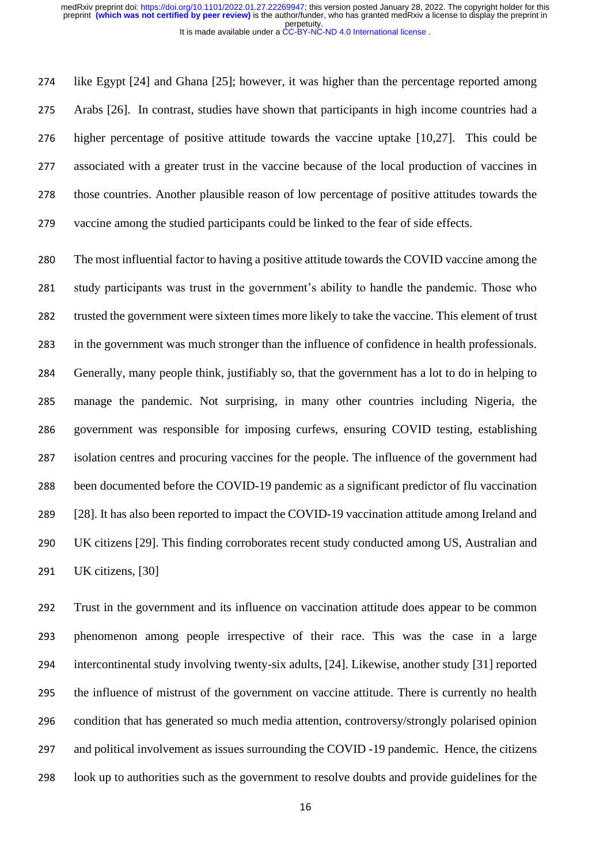like Egypt [24] and Ghana [25]; however, it was higher than the percentage reported among Arabs [26]. In contrast, studies have shown that participants in high income countries had a higher percentage of positive attitude towards the vaccine uptake [10,27]. This could be associated with a greater trust in the vaccine because of the local production of vaccines in those countries. Another plausible reason of low percentage of positive attitudes towards the vaccine among the studied participants could be linked to the fear of side effects.

 The most influential factor to having a positive attitude towards the COVID vaccine among the study participants was trust in the government's ability to handle the pandemic. Those who trusted the government were sixteen times more likely to take the vaccine. This element of trust in the government was much stronger than the influence of confidence in health professionals. Generally, many people think, justifiably so, that the government has a lot to do in helping to manage the pandemic. Not surprising, in many other countries including Nigeria, the government was responsible for imposing curfews, ensuring COVID testing, establishing isolation centres and procuring vaccines for the people. The influence of the government had been documented before the COVID-19 pandemic as a significant predictor of flu vaccination [28]. It has also been reported to impact the COVID-19 vaccination attitude among Ireland and UK citizens [29]. This finding corroborates recent study conducted among US, Australian and UK citizens, [30]

 Trust in the government and its influence on vaccination attitude does appear to be common phenomenon among people irrespective of their race. This was the case in a large intercontinental study involving twenty-six adults, [24]. Likewise, another study [31] reported the influence of mistrust of the government on vaccine attitude. There is currently no health condition that has generated so much media attention, controversy/strongly polarised opinion and political involvement as issues surrounding the COVID -19 pandemic. Hence, the citizens look up to authorities such as the government to resolve doubts and provide guidelines for the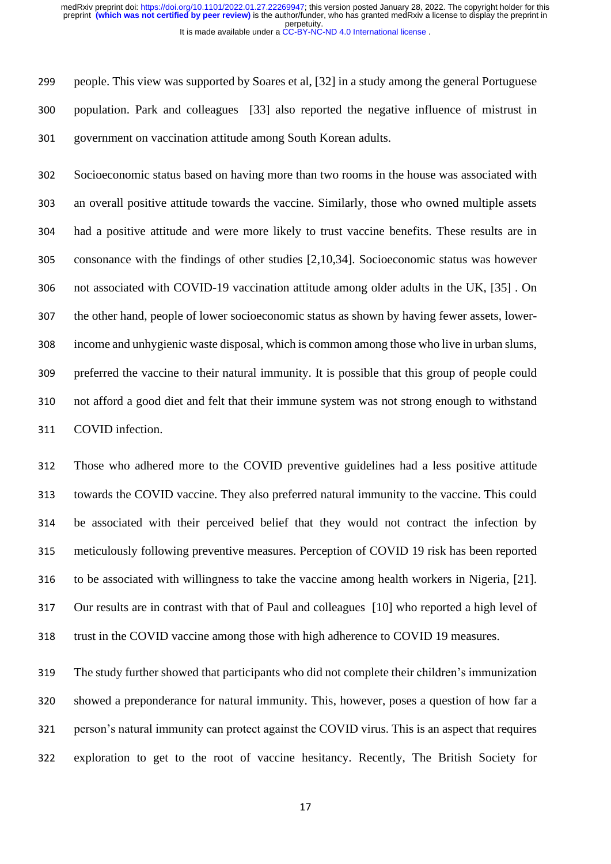people. This view was supported by Soares et al, [32] in a study among the general Portuguese population. Park and colleagues [33] also reported the negative influence of mistrust in government on vaccination attitude among South Korean adults.

 Socioeconomic status based on having more than two rooms in the house was associated with an overall positive attitude towards the vaccine. Similarly, those who owned multiple assets had a positive attitude and were more likely to trust vaccine benefits. These results are in consonance with the findings of other studies [2,10,34]. Socioeconomic status was however not associated with COVID-19 vaccination attitude among older adults in the UK, [35] . On the other hand, people of lower socioeconomic status as shown by having fewer assets, lower- income and unhygienic waste disposal, which is common among those who live in urban slums, preferred the vaccine to their natural immunity. It is possible that this group of people could not afford a good diet and felt that their immune system was not strong enough to withstand COVID infection.

 Those who adhered more to the COVID preventive guidelines had a less positive attitude towards the COVID vaccine. They also preferred natural immunity to the vaccine. This could be associated with their perceived belief that they would not contract the infection by meticulously following preventive measures. Perception of COVID 19 risk has been reported to be associated with willingness to take the vaccine among health workers in Nigeria, [21]. Our results are in contrast with that of Paul and colleagues [10] who reported a high level of trust in the COVID vaccine among those with high adherence to COVID 19 measures.

 The study further showed that participants who did not complete their children's immunization showed a preponderance for natural immunity. This, however, poses a question of how far a person's natural immunity can protect against the COVID virus. This is an aspect that requires exploration to get to the root of vaccine hesitancy. Recently, The British Society for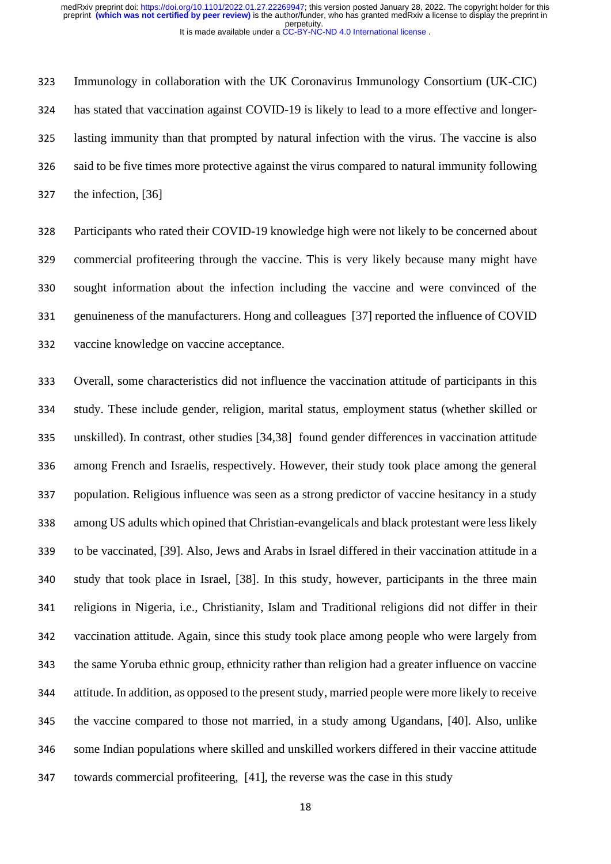Immunology in collaboration with the UK Coronavirus Immunology Consortium (UK-CIC) has stated that vaccination against COVID-19 is likely to lead to a more effective and longer- lasting immunity than that prompted by natural infection with the virus. The vaccine is also said to be five times more protective against the virus compared to natural immunity following the infection, [36]

 Participants who rated their COVID-19 knowledge high were not likely to be concerned about commercial profiteering through the vaccine. This is very likely because many might have sought information about the infection including the vaccine and were convinced of the genuineness of the manufacturers. Hong and colleagues [37] reported the influence of COVID vaccine knowledge on vaccine acceptance.

 Overall, some characteristics did not influence the vaccination attitude of participants in this study. These include gender, religion, marital status, employment status (whether skilled or unskilled). In contrast, other studies [34,38] found gender differences in vaccination attitude among French and Israelis, respectively. However, their study took place among the general population. Religious influence was seen as a strong predictor of vaccine hesitancy in a study among US adults which opined that Christian-evangelicals and black protestant were less likely to be vaccinated, [39]. Also, Jews and Arabs in Israel differed in their vaccination attitude in a study that took place in Israel, [38]. In this study, however, participants in the three main religions in Nigeria, i.e., Christianity, Islam and Traditional religions did not differ in their vaccination attitude. Again, since this study took place among people who were largely from the same Yoruba ethnic group, ethnicity rather than religion had a greater influence on vaccine attitude. In addition, as opposed to the present study, married people were more likely to receive the vaccine compared to those not married, in a study among Ugandans, [40]. Also, unlike some Indian populations where skilled and unskilled workers differed in their vaccine attitude towards commercial profiteering, [41], the reverse was the case in this study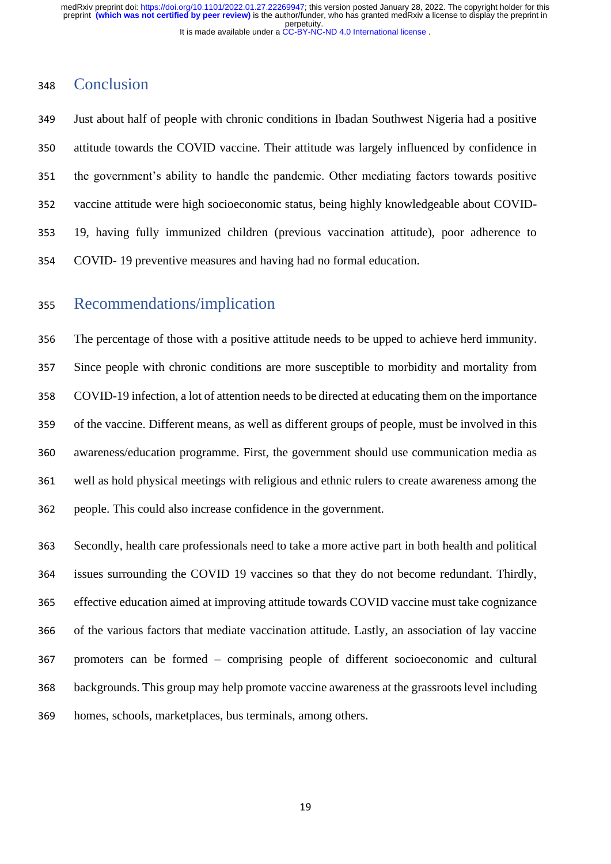## Conclusion

 Just about half of people with chronic conditions in Ibadan Southwest Nigeria had a positive attitude towards the COVID vaccine. Their attitude was largely influenced by confidence in the government's ability to handle the pandemic. Other mediating factors towards positive vaccine attitude were high socioeconomic status, being highly knowledgeable about COVID- 19, having fully immunized children (previous vaccination attitude), poor adherence to COVID- 19 preventive measures and having had no formal education.

# Recommendations/implication

 The percentage of those with a positive attitude needs to be upped to achieve herd immunity. Since people with chronic conditions are more susceptible to morbidity and mortality from COVID-19 infection, a lot of attention needs to be directed at educating them on the importance of the vaccine. Different means, as well as different groups of people, must be involved in this awareness/education programme. First, the government should use communication media as well as hold physical meetings with religious and ethnic rulers to create awareness among the people. This could also increase confidence in the government.

 Secondly, health care professionals need to take a more active part in both health and political issues surrounding the COVID 19 vaccines so that they do not become redundant. Thirdly, effective education aimed at improving attitude towards COVID vaccine must take cognizance of the various factors that mediate vaccination attitude. Lastly, an association of lay vaccine promoters can be formed – comprising people of different socioeconomic and cultural backgrounds. This group may help promote vaccine awareness at the grassroots level including homes, schools, marketplaces, bus terminals, among others.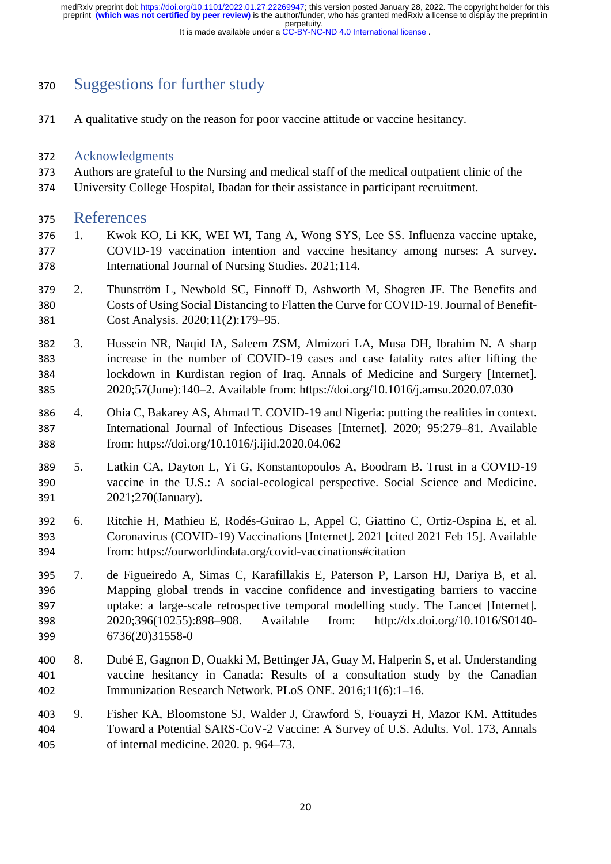perpetuity. preprint **(which was not certified by peer review)** is the author/funder, who has granted medRxiv a license to display the preprint in medRxiv preprint doi: [https://doi.org/10.1101/2022.01.27.22269947;](https://doi.org/10.1101/2022.01.27.22269947) this version posted January 28, 2022. The copyright holder for this

It is made available under a [CC-BY-NC-ND 4.0 International license](http://creativecommons.org/licenses/by-nc-nd/4.0/) .

# Suggestions for further study

A qualitative study on the reason for poor vaccine attitude or vaccine hesitancy.

### Acknowledgments

- Authors are grateful to the Nursing and medical staff of the medical outpatient clinic of the
- University College Hospital, Ibadan for their assistance in participant recruitment.

#### References

- 1. Kwok KO, Li KK, WEI WI, Tang A, Wong SYS, Lee SS. Influenza vaccine uptake, COVID-19 vaccination intention and vaccine hesitancy among nurses: A survey. International Journal of Nursing Studies. 2021;114.
- 2. Thunström L, Newbold SC, Finnoff D, Ashworth M, Shogren JF. The Benefits and Costs of Using Social Distancing to Flatten the Curve for COVID-19. Journal of Benefit-Cost Analysis. 2020;11(2):179–95.
- 3. Hussein NR, Naqid IA, Saleem ZSM, Almizori LA, Musa DH, Ibrahim N. A sharp increase in the number of COVID-19 cases and case fatality rates after lifting the lockdown in Kurdistan region of Iraq. Annals of Medicine and Surgery [Internet]. 2020;57(June):140–2. Available from: https://doi.org/10.1016/j.amsu.2020.07.030
- 4. Ohia C, Bakarey AS, Ahmad T. COVID-19 and Nigeria: putting the realities in context. International Journal of Infectious Diseases [Internet]. 2020; 95:279–81. Available from: https://doi.org/10.1016/j.ijid.2020.04.062
- 5. Latkin CA, Dayton L, Yi G, Konstantopoulos A, Boodram B. Trust in a COVID-19 vaccine in the U.S.: A social-ecological perspective. Social Science and Medicine. 2021;270(January).
- 6. Ritchie H, Mathieu E, Rodés-Guirao L, Appel C, Giattino C, Ortiz-Ospina E, et al. Coronavirus (COVID-19) Vaccinations [Internet]. 2021 [cited 2021 Feb 15]. Available from: https://ourworldindata.org/covid-vaccinations#citation
- 7. de Figueiredo A, Simas C, Karafillakis E, Paterson P, Larson HJ, Dariya B, et al. Mapping global trends in vaccine confidence and investigating barriers to vaccine uptake: a large-scale retrospective temporal modelling study. The Lancet [Internet]. 2020;396(10255):898–908. Available from: http://dx.doi.org/10.1016/S0140- 6736(20)31558-0
- 8. Dubé E, Gagnon D, Ouakki M, Bettinger JA, Guay M, Halperin S, et al. Understanding vaccine hesitancy in Canada: Results of a consultation study by the Canadian Immunization Research Network. PLoS ONE. 2016;11(6):1–16.
- 9. Fisher KA, Bloomstone SJ, Walder J, Crawford S, Fouayzi H, Mazor KM. Attitudes Toward a Potential SARS-CoV-2 Vaccine: A Survey of U.S. Adults. Vol. 173, Annals of internal medicine. 2020. p. 964–73.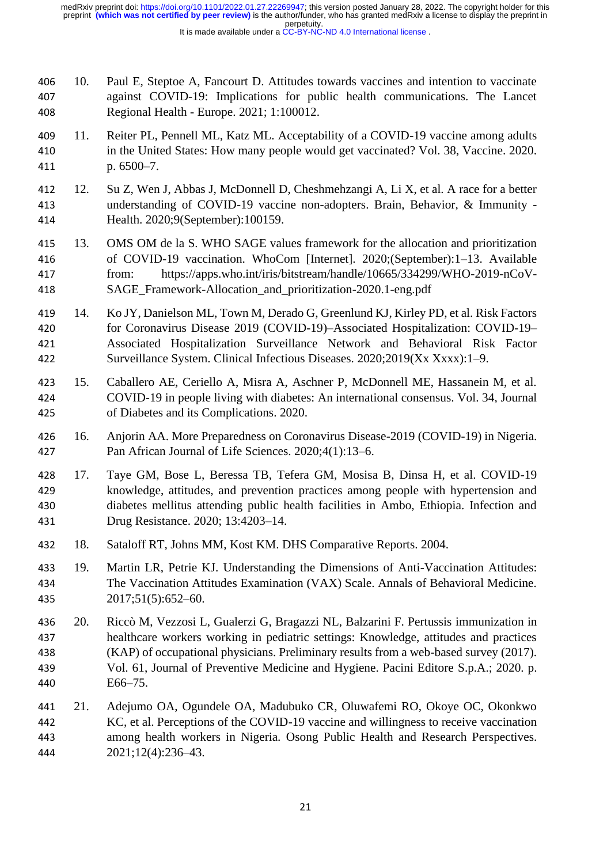10. Paul E, Steptoe A, Fancourt D. Attitudes towards vaccines and intention to vaccinate against COVID-19: Implications for public health communications. The Lancet Regional Health - Europe. 2021; 1:100012.

- 11. Reiter PL, Pennell ML, Katz ML. Acceptability of a COVID-19 vaccine among adults in the United States: How many people would get vaccinated? Vol. 38, Vaccine. 2020. p. 6500–7.
- 12. Su Z, Wen J, Abbas J, McDonnell D, Cheshmehzangi A, Li X, et al. A race for a better understanding of COVID-19 vaccine non-adopters. Brain, Behavior, & Immunity - Health. 2020;9(September):100159.
- 13. OMS OM de la S. WHO SAGE values framework for the allocation and prioritization of COVID-19 vaccination. WhoCom [Internet]. 2020;(September):1–13. Available from: https://apps.who.int/iris/bitstream/handle/10665/334299/WHO-2019-nCoV-SAGE\_Framework-Allocation\_and\_prioritization-2020.1-eng.pdf
- 14. Ko JY, Danielson ML, Town M, Derado G, Greenlund KJ, Kirley PD, et al. Risk Factors for Coronavirus Disease 2019 (COVID-19)–Associated Hospitalization: COVID-19– Associated Hospitalization Surveillance Network and Behavioral Risk Factor Surveillance System. Clinical Infectious Diseases. 2020;2019(Xx Xxxx):1–9.
- 15. Caballero AE, Ceriello A, Misra A, Aschner P, McDonnell ME, Hassanein M, et al. COVID-19 in people living with diabetes: An international consensus. Vol. 34, Journal of Diabetes and its Complications. 2020.
- 16. Anjorin AA. More Preparedness on Coronavirus Disease-2019 (COVID-19) in Nigeria. Pan African Journal of Life Sciences. 2020;4(1):13–6.
- 17. Taye GM, Bose L, Beressa TB, Tefera GM, Mosisa B, Dinsa H, et al. COVID-19 knowledge, attitudes, and prevention practices among people with hypertension and diabetes mellitus attending public health facilities in Ambo, Ethiopia. Infection and Drug Resistance. 2020; 13:4203–14.
- 18. Sataloff RT, Johns MM, Kost KM. DHS Comparative Reports. 2004.
- 19. Martin LR, Petrie KJ. Understanding the Dimensions of Anti-Vaccination Attitudes: The Vaccination Attitudes Examination (VAX) Scale. Annals of Behavioral Medicine. 2017;51(5):652–60.
- 20. Riccò M, Vezzosi L, Gualerzi G, Bragazzi NL, Balzarini F. Pertussis immunization in healthcare workers working in pediatric settings: Knowledge, attitudes and practices (KAP) of occupational physicians. Preliminary results from a web-based survey (2017). Vol. 61, Journal of Preventive Medicine and Hygiene. Pacini Editore S.p.A.; 2020. p. E66–75.
- 21. Adejumo OA, Ogundele OA, Madubuko CR, Oluwafemi RO, Okoye OC, Okonkwo KC, et al. Perceptions of the COVID-19 vaccine and willingness to receive vaccination among health workers in Nigeria. Osong Public Health and Research Perspectives. 2021;12(4):236–43.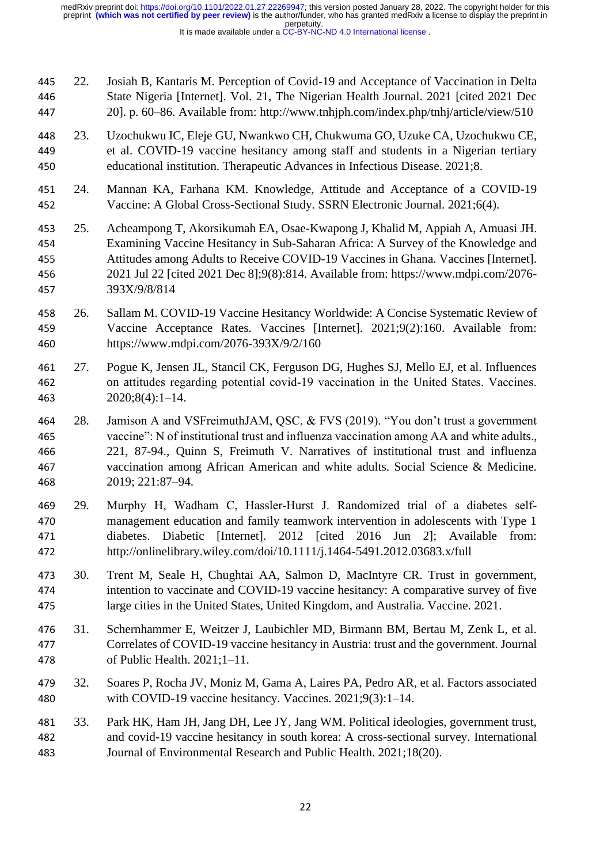22. Josiah B, Kantaris M. Perception of Covid-19 and Acceptance of Vaccination in Delta State Nigeria [Internet]. Vol. 21, The Nigerian Health Journal. 2021 [cited 2021 Dec 20]. p. 60–86. Available from: http://www.tnhjph.com/index.php/tnhj/article/view/510

- 23. Uzochukwu IC, Eleje GU, Nwankwo CH, Chukwuma GO, Uzuke CA, Uzochukwu CE, et al. COVID-19 vaccine hesitancy among staff and students in a Nigerian tertiary educational institution. Therapeutic Advances in Infectious Disease. 2021;8.
- 24. Mannan KA, Farhana KM. Knowledge, Attitude and Acceptance of a COVID-19 Vaccine: A Global Cross-Sectional Study. SSRN Electronic Journal. 2021;6(4).
- 25. Acheampong T, Akorsikumah EA, Osae-Kwapong J, Khalid M, Appiah A, Amuasi JH. Examining Vaccine Hesitancy in Sub-Saharan Africa: A Survey of the Knowledge and Attitudes among Adults to Receive COVID-19 Vaccines in Ghana. Vaccines [Internet]. 2021 Jul 22 [cited 2021 Dec 8];9(8):814. Available from: https://www.mdpi.com/2076- 393X/9/8/814
- 26. Sallam M. COVID-19 Vaccine Hesitancy Worldwide: A Concise Systematic Review of Vaccine Acceptance Rates. Vaccines [Internet]. 2021;9(2):160. Available from: https://www.mdpi.com/2076-393X/9/2/160
- 27. Pogue K, Jensen JL, Stancil CK, Ferguson DG, Hughes SJ, Mello EJ, et al. Influences on attitudes regarding potential covid‐19 vaccination in the United States. Vaccines. 2020;8(4):1–14.
- 28. Jamison A and VSFreimuthJAM, QSC, & FVS (2019). "You don't trust a government vaccine": N of institutional trust and influenza vaccination among AA and white adults., 221, 87-94., Quinn S, Freimuth V. Narratives of institutional trust and influenza vaccination among African American and white adults. Social Science & Medicine. 2019; 221:87–94.
- 29. Murphy H, Wadham C, Hassler‐Hurst J. Randomized trial of a diabetes self‐ management education and family teamwork intervention in adolescents with Type 1 diabetes. Diabetic [Internet]. 2012 [cited 2016 Jun 2]; Available from: http://onlinelibrary.wiley.com/doi/10.1111/j.1464-5491.2012.03683.x/full
- 30. Trent M, Seale H, Chughtai AA, Salmon D, MacIntyre CR. Trust in government, intention to vaccinate and COVID-19 vaccine hesitancy: A comparative survey of five large cities in the United States, United Kingdom, and Australia. Vaccine. 2021.
- 31. Schernhammer E, Weitzer J, Laubichler MD, Birmann BM, Bertau M, Zenk L, et al. Correlates of COVID-19 vaccine hesitancy in Austria: trust and the government. Journal of Public Health. 2021;1–11.
- 32. Soares P, Rocha JV, Moniz M, Gama A, Laires PA, Pedro AR, et al. Factors associated with COVID-19 vaccine hesitancy. Vaccines. 2021;9(3):1–14.
- 33. Park HK, Ham JH, Jang DH, Lee JY, Jang WM. Political ideologies, government trust, and covid-19 vaccine hesitancy in south korea: A cross-sectional survey. International Journal of Environmental Research and Public Health. 2021;18(20).